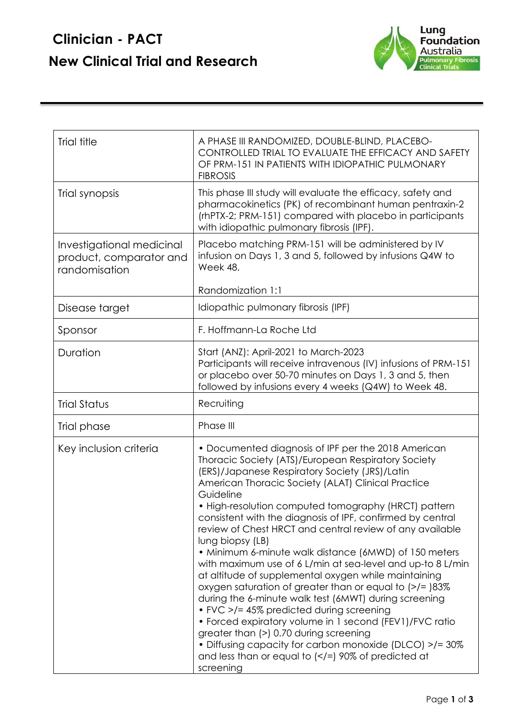## **Clinician - PACT New Clinical Trial and Research**



| Trial title                                                           | A PHASE III RANDOMIZED, DOUBLE-BLIND, PLACEBO-<br>CONTROLLED TRIAL TO EVALUATE THE EFFICACY AND SAFETY<br>OF PRM-151 IN PATIENTS WITH IDIOPATHIC PULMONARY<br><b>FIBROSIS</b>                                                                                                                                                                                                                                                                                                                                                                                                                                                                                                                                                                                                                                                                                                                                                                                                                                                                                         |
|-----------------------------------------------------------------------|-----------------------------------------------------------------------------------------------------------------------------------------------------------------------------------------------------------------------------------------------------------------------------------------------------------------------------------------------------------------------------------------------------------------------------------------------------------------------------------------------------------------------------------------------------------------------------------------------------------------------------------------------------------------------------------------------------------------------------------------------------------------------------------------------------------------------------------------------------------------------------------------------------------------------------------------------------------------------------------------------------------------------------------------------------------------------|
| Trial synopsis                                                        | This phase III study will evaluate the efficacy, safety and<br>pharmacokinetics (PK) of recombinant human pentraxin-2<br>(rhPTX-2; PRM-151) compared with placebo in participants<br>with idiopathic pulmonary fibrosis (IPF).                                                                                                                                                                                                                                                                                                                                                                                                                                                                                                                                                                                                                                                                                                                                                                                                                                        |
| Investigational medicinal<br>product, comparator and<br>randomisation | Placebo matching PRM-151 will be administered by IV<br>infusion on Days 1, 3 and 5, followed by infusions Q4W to<br>Week 48.                                                                                                                                                                                                                                                                                                                                                                                                                                                                                                                                                                                                                                                                                                                                                                                                                                                                                                                                          |
|                                                                       | Randomization 1:1                                                                                                                                                                                                                                                                                                                                                                                                                                                                                                                                                                                                                                                                                                                                                                                                                                                                                                                                                                                                                                                     |
| Disease target                                                        | Idiopathic pulmonary fibrosis (IPF)                                                                                                                                                                                                                                                                                                                                                                                                                                                                                                                                                                                                                                                                                                                                                                                                                                                                                                                                                                                                                                   |
| Sponsor                                                               | F. Hoffmann-La Roche Ltd                                                                                                                                                                                                                                                                                                                                                                                                                                                                                                                                                                                                                                                                                                                                                                                                                                                                                                                                                                                                                                              |
| Duration                                                              | Start (ANZ): April-2021 to March-2023<br>Participants will receive intravenous (IV) infusions of PRM-151<br>or placebo over 50-70 minutes on Days 1, 3 and 5, then<br>followed by infusions every 4 weeks (Q4W) to Week 48.                                                                                                                                                                                                                                                                                                                                                                                                                                                                                                                                                                                                                                                                                                                                                                                                                                           |
| <b>Trial Status</b>                                                   | Recruiting                                                                                                                                                                                                                                                                                                                                                                                                                                                                                                                                                                                                                                                                                                                                                                                                                                                                                                                                                                                                                                                            |
| Trial phase                                                           | Phase III                                                                                                                                                                                                                                                                                                                                                                                                                                                                                                                                                                                                                                                                                                                                                                                                                                                                                                                                                                                                                                                             |
| Key inclusion criteria                                                | • Documented diagnosis of IPF per the 2018 American<br>Thoracic Society (ATS)/European Respiratory Society<br>(ERS)/Japanese Respiratory Society (JRS)/Latin<br>American Thoracic Society (ALAT) Clinical Practice<br>Guideline<br>• High-resolution computed tomography (HRCT) pattern<br>consistent with the diagnosis of IPF, confirmed by central<br>review of Chest HRCT and central review of any available<br>lung biopsy (LB)<br>• Minimum 6-minute walk distance (6MWD) of 150 meters<br>with maximum use of 6 L/min at sea-level and up-to 8 L/min<br>at altitude of supplemental oxygen while maintaining<br>oxygen saturation of greater than or equal to $($ >/= $)$ 83%<br>during the 6-minute walk test (6MWT) during screening<br>• FVC >/= 45% predicted during screening<br>• Forced expiratory volume in 1 second (FEV1)/FVC ratio<br>greater than (>) 0.70 during screening<br>• Diffusing capacity for carbon monoxide (DLCO) >/= 30%<br>and less than or equal to $\left\langle \langle -\rangle\right\rangle$ 90% of predicted at<br>screening |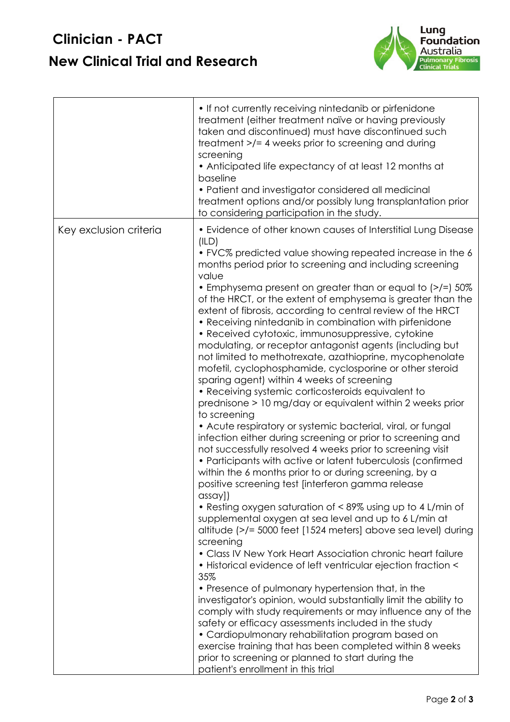## **Clinician - PACT New Clinical Trial and Research**



|                        | • If not currently receiving nintedanib or pirfenidone<br>treatment (either treatment naïve or having previously<br>taken and discontinued) must have discontinued such<br>treatment >/= 4 weeks prior to screening and during<br>screening<br>• Anticipated life expectancy of at least 12 months at<br>baseline<br>• Patient and investigator considered all medicinal<br>treatment options and/or possibly lung transplantation prior<br>to considering participation in the study.                                                                                                                                                                                                                                                                                                                                                                                                                                                                                                                                                                                                                                                                                                                                                                                                                                                                                                                                                                                                                                                                                                                                                                                                                                                                                                                                                                                                                                                                                                                                                                                                         |
|------------------------|------------------------------------------------------------------------------------------------------------------------------------------------------------------------------------------------------------------------------------------------------------------------------------------------------------------------------------------------------------------------------------------------------------------------------------------------------------------------------------------------------------------------------------------------------------------------------------------------------------------------------------------------------------------------------------------------------------------------------------------------------------------------------------------------------------------------------------------------------------------------------------------------------------------------------------------------------------------------------------------------------------------------------------------------------------------------------------------------------------------------------------------------------------------------------------------------------------------------------------------------------------------------------------------------------------------------------------------------------------------------------------------------------------------------------------------------------------------------------------------------------------------------------------------------------------------------------------------------------------------------------------------------------------------------------------------------------------------------------------------------------------------------------------------------------------------------------------------------------------------------------------------------------------------------------------------------------------------------------------------------------------------------------------------------------------------------------------------------|
| Key exclusion criteria | • Evidence of other known causes of Interstitial Lung Disease<br>(ILD)<br>• FVC% predicted value showing repeated increase in the 6<br>months period prior to screening and including screening<br>value<br>• Emphysema present on greater than or equal to (>/=) 50%<br>of the HRCT, or the extent of emphysema is greater than the<br>extent of fibrosis, according to central review of the HRCT<br>• Receiving nintedanib in combination with pirfenidone<br>• Received cytotoxic, immunosuppressive, cytokine<br>modulating, or receptor antagonist agents (including but<br>not limited to methotrexate, azathioprine, mycophenolate<br>mofetil, cyclophosphamide, cyclosporine or other steroid<br>sparing agent) within 4 weeks of screening<br>• Receiving systemic corticosteroids equivalent to<br>prednisone > 10 mg/day or equivalent within 2 weeks prior<br>to screening<br>• Acute respiratory or systemic bacterial, viral, or fungal<br>infection either during screening or prior to screening and<br>not successfully resolved 4 weeks prior to screening visit<br>• Participants with active or latent tuberculosis (confirmed<br>within the 6 months prior to or during screening, by a<br>positive screening test [interferon gamma release<br>$\cos\alpha y$ ]<br>• Resting oxygen saturation of < 89% using up to 4 L/min of<br>supplemental oxygen at sea level and up to 6 L/min at<br>altitude (>/= 5000 feet [1524 meters] above sea level) during<br>screening<br>• Class IV New York Heart Association chronic heart failure<br>• Historical evidence of left ventricular ejection fraction <<br>35%<br>• Presence of pulmonary hypertension that, in the<br>investigator's opinion, would substantially limit the ability to<br>comply with study requirements or may influence any of the<br>safety or efficacy assessments included in the study<br>• Cardiopulmonary rehabilitation program based on<br>exercise training that has been completed within 8 weeks<br>prior to screening or planned to start during the<br>patient's enrollment in this trial |